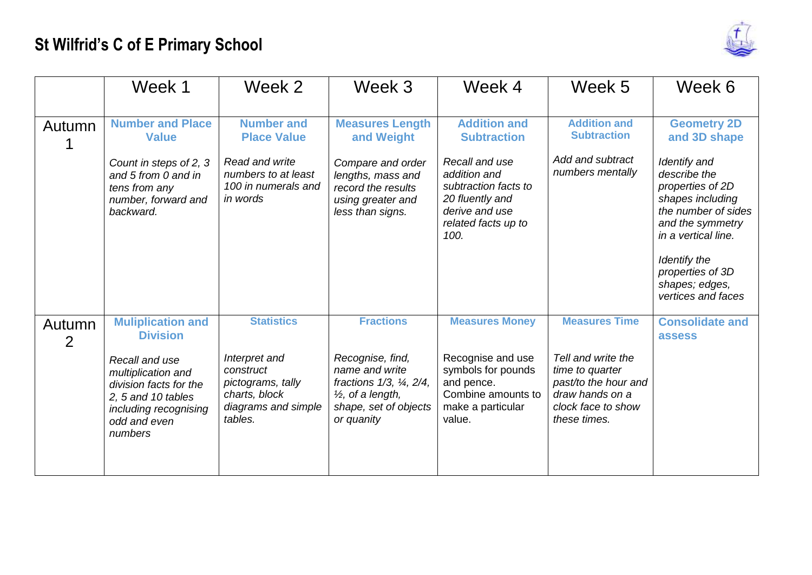

|             | Week 1                                                                                                                                   | Week 2                                                                                             | Week 3                                                                                                                                | Week 4                                                                                                                     | Week 5                                                                                                                 | Week 6                                                                                                                                                                                                             |
|-------------|------------------------------------------------------------------------------------------------------------------------------------------|----------------------------------------------------------------------------------------------------|---------------------------------------------------------------------------------------------------------------------------------------|----------------------------------------------------------------------------------------------------------------------------|------------------------------------------------------------------------------------------------------------------------|--------------------------------------------------------------------------------------------------------------------------------------------------------------------------------------------------------------------|
| Autumn      | <b>Number and Place</b><br><b>Value</b>                                                                                                  | <b>Number and</b><br><b>Place Value</b>                                                            | <b>Measures Length</b><br>and Weight                                                                                                  | <b>Addition and</b><br><b>Subtraction</b>                                                                                  | <b>Addition and</b><br><b>Subtraction</b>                                                                              | <b>Geometry 2D</b><br>and 3D shape                                                                                                                                                                                 |
|             | Count in steps of 2, 3<br>and 5 from 0 and in<br>tens from any<br>number, forward and<br>backward.                                       | Read and write<br>numbers to at least<br>100 in numerals and<br>in words                           | Compare and order<br>lengths, mass and<br>record the results<br>using greater and<br>less than signs.                                 | Recall and use<br>addition and<br>subtraction facts to<br>20 fluently and<br>derive and use<br>related facts up to<br>100. | Add and subtract<br>numbers mentally                                                                                   | Identify and<br>describe the<br>properties of 2D<br>shapes including<br>the number of sides<br>and the symmetry<br>in a vertical line.<br>Identify the<br>properties of 3D<br>shapes; edges,<br>vertices and faces |
| Autumn<br>2 | <b>Muliplication and</b><br><b>Division</b>                                                                                              | <b>Statistics</b>                                                                                  | <b>Fractions</b>                                                                                                                      | <b>Measures Money</b>                                                                                                      | <b>Measures Time</b>                                                                                                   | <b>Consolidate and</b><br>assess                                                                                                                                                                                   |
|             | Recall and use<br>multiplication and<br>division facts for the<br>2, 5 and 10 tables<br>including recognising<br>odd and even<br>numbers | Interpret and<br>construct<br>pictograms, tally<br>charts, block<br>diagrams and simple<br>tables. | Recognise, find,<br>name and write<br>fractions 1/3, 1/4, 2/4,<br>$\frac{1}{2}$ , of a length,<br>shape, set of objects<br>or quanity | Recognise and use<br>symbols for pounds<br>and pence.<br>Combine amounts to<br>make a particular<br>value.                 | Tell and write the<br>time to quarter<br>past/to the hour and<br>draw hands on a<br>clock face to show<br>these times. |                                                                                                                                                                                                                    |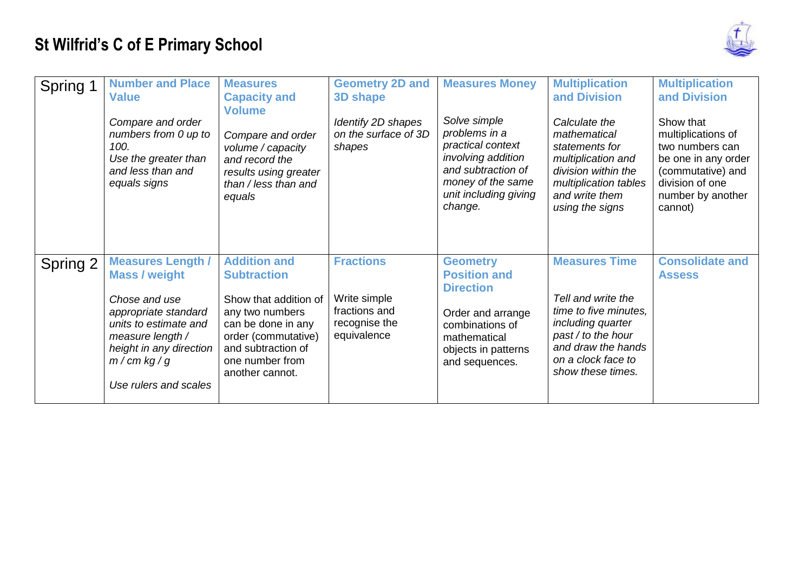

| Spring 1 | <b>Number and Place</b><br><b>Value</b><br>Compare and order<br>numbers from 0 up to<br>100.<br>Use the greater than<br>and less than and<br>equals signs                                                   | <b>Measures</b><br><b>Capacity and</b><br><b>Volume</b><br>Compare and order<br>volume / capacity<br>and record the<br>results using greater<br>than / less than and                           | <b>Geometry 2D and</b><br>3D shape<br>Identify 2D shapes<br>on the surface of 3D<br>shapes | <b>Measures Money</b><br>Solve simple<br>problems in a<br>practical context<br>involving addition<br>and subtraction of<br>money of the same                | <b>Multiplication</b><br>and Division<br>Calculate the<br>mathematical<br>statements for<br>multiplication and<br>division within the<br>multiplication tables                  | <b>Multiplication</b><br>and Division<br>Show that<br>multiplications of<br>two numbers can<br>be one in any order<br>(commutative) and<br>division of one |
|----------|-------------------------------------------------------------------------------------------------------------------------------------------------------------------------------------------------------------|------------------------------------------------------------------------------------------------------------------------------------------------------------------------------------------------|--------------------------------------------------------------------------------------------|-------------------------------------------------------------------------------------------------------------------------------------------------------------|---------------------------------------------------------------------------------------------------------------------------------------------------------------------------------|------------------------------------------------------------------------------------------------------------------------------------------------------------|
|          |                                                                                                                                                                                                             | equals                                                                                                                                                                                         |                                                                                            | unit including giving<br>change.                                                                                                                            | and write them<br>using the signs                                                                                                                                               | number by another<br>cannot)                                                                                                                               |
| Spring 2 | <b>Measures Length /</b><br><b>Mass / weight</b><br>Chose and use<br>appropriate standard<br>units to estimate and<br>measure length /<br>height in any direction<br>$m/cm$ kg / g<br>Use rulers and scales | <b>Addition and</b><br><b>Subtraction</b><br>Show that addition of<br>any two numbers<br>can be done in any<br>order (commutative)<br>and subtraction of<br>one number from<br>another cannot. | <b>Fractions</b><br>Write simple<br>fractions and<br>recognise the<br>equivalence          | <b>Geometry</b><br><b>Position and</b><br><b>Direction</b><br>Order and arrange<br>combinations of<br>mathematical<br>objects in patterns<br>and sequences. | <b>Measures Time</b><br>Tell and write the<br>time to five minutes,<br>including quarter<br>past / to the hour<br>and draw the hands<br>on a clock face to<br>show these times. | <b>Consolidate and</b><br><b>Assess</b>                                                                                                                    |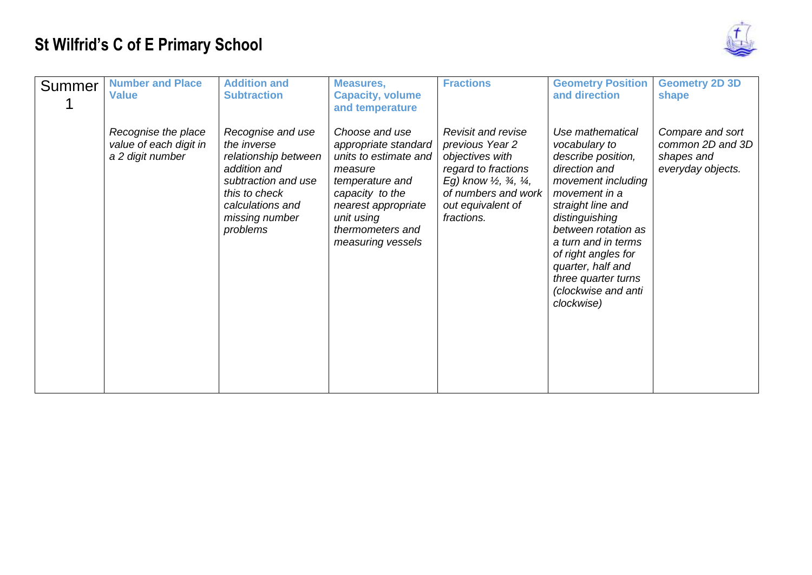

| Summer | <b>Number and Place</b><br><b>Value</b>                           | <b>Addition and</b><br><b>Subtraction</b>                                                                                                                          | <b>Measures,</b><br><b>Capacity, volume</b><br>and temperature                                                                                                                                 | <b>Fractions</b>                                                                                                                                                                                             | <b>Geometry Position</b><br>and direction                                                                                                                                                                                                                                                                    | <b>Geometry 2D 3D</b><br>shape                                          |
|--------|-------------------------------------------------------------------|--------------------------------------------------------------------------------------------------------------------------------------------------------------------|------------------------------------------------------------------------------------------------------------------------------------------------------------------------------------------------|--------------------------------------------------------------------------------------------------------------------------------------------------------------------------------------------------------------|--------------------------------------------------------------------------------------------------------------------------------------------------------------------------------------------------------------------------------------------------------------------------------------------------------------|-------------------------------------------------------------------------|
|        | Recognise the place<br>value of each digit in<br>a 2 digit number | Recognise and use<br>the inverse<br>relationship between<br>addition and<br>subtraction and use<br>this to check<br>calculations and<br>missing number<br>problems | Choose and use<br>appropriate standard<br>units to estimate and<br>measure<br>temperature and<br>capacity to the<br>nearest appropriate<br>unit using<br>thermometers and<br>measuring vessels | <b>Revisit and revise</b><br>previous Year 2<br>objectives with<br>regard to fractions<br>Eg) know $\frac{1}{2}$ , $\frac{3}{4}$ , $\frac{1}{4}$ ,<br>of numbers and work<br>out equivalent of<br>fractions. | Use mathematical<br>vocabulary to<br>describe position,<br>direction and<br>movement including<br>movement in a<br>straight line and<br>distinguishing<br>between rotation as<br>a turn and in terms<br>of right angles for<br>quarter, half and<br>three quarter turns<br>(clockwise and anti<br>clockwise) | Compare and sort<br>common 2D and 3D<br>shapes and<br>everyday objects. |